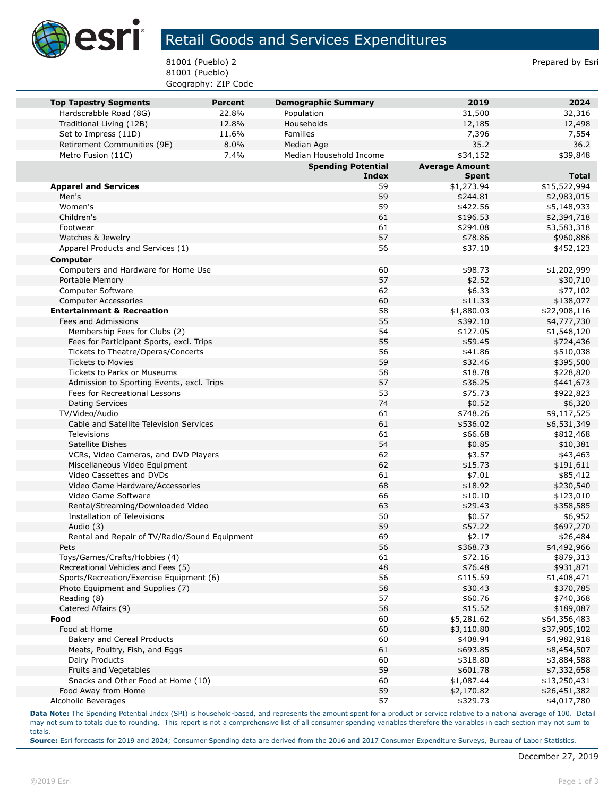

## Retail Goods and Services Expenditures

81001 (Pueblo) 2 Prepared by Esri 81001 (Pueblo) Geography: ZIP Code

| <b>Top Tapestry Segments</b>                              | <b>Percent</b> | <b>Demographic Summary</b> | 2019                  | 2024                  |
|-----------------------------------------------------------|----------------|----------------------------|-----------------------|-----------------------|
| Hardscrabble Road (8G)                                    | 22.8%          | Population                 | 31,500                | 32,316                |
| Traditional Living (12B)                                  | 12.8%          | Households                 | 12,185                | 12,498                |
| Set to Impress (11D)                                      | 11.6%          | <b>Families</b>            | 7,396                 | 7,554                 |
| Retirement Communities (9E)                               | 8.0%           | Median Age                 | 35.2                  | 36.2                  |
| Metro Fusion (11C)                                        | 7.4%           | Median Household Income    | \$34,152              | \$39,848              |
|                                                           |                | <b>Spending Potential</b>  | <b>Average Amount</b> |                       |
|                                                           |                | <b>Index</b>               | <b>Spent</b>          | <b>Total</b>          |
| <b>Apparel and Services</b>                               |                | 59                         | \$1,273.94            | \$15,522,994          |
| Men's                                                     |                | 59                         | \$244.81              | \$2,983,015           |
| Women's                                                   |                | 59                         | \$422.56              | \$5,148,933           |
| Children's                                                |                | 61                         | \$196.53              | \$2,394,718           |
| Footwear                                                  |                | 61                         | \$294.08              | \$3,583,318           |
| Watches & Jewelry                                         |                | 57                         | \$78.86               | \$960,886             |
| Apparel Products and Services (1)                         |                | 56                         | \$37.10               | \$452,123             |
| <b>Computer</b>                                           |                |                            |                       |                       |
| Computers and Hardware for Home Use                       |                | 60                         | \$98.73               | \$1,202,999           |
| Portable Memory                                           |                | 57                         | \$2.52                | \$30,710              |
| Computer Software                                         |                | 62                         | \$6.33                | \$77,102              |
| <b>Computer Accessories</b>                               |                | 60                         | \$11.33               | \$138,077             |
| <b>Entertainment &amp; Recreation</b>                     |                | 58                         | \$1,880.03            | \$22,908,116          |
| Fees and Admissions                                       |                | 55                         | \$392.10              | \$4,777,730           |
| Membership Fees for Clubs (2)                             |                | 54                         | \$127.05              | \$1,548,120           |
| Fees for Participant Sports, excl. Trips                  |                | 55                         | \$59.45               | \$724,436             |
| Tickets to Theatre/Operas/Concerts                        |                | 56                         | \$41.86               | \$510,038             |
| <b>Tickets to Movies</b>                                  |                | 59                         | \$32.46               | \$395,500             |
| Tickets to Parks or Museums                               |                | 58                         | \$18.78               | \$228,820             |
| Admission to Sporting Events, excl. Trips                 |                | 57                         | \$36.25               | \$441,673             |
| Fees for Recreational Lessons                             |                | 53                         | \$75.73               | \$922,823             |
| <b>Dating Services</b>                                    |                | 74                         | \$0.52                | \$6,320               |
| TV/Video/Audio<br>Cable and Satellite Television Services |                | 61<br>61                   | \$748.26              | \$9,117,525           |
| Televisions                                               |                |                            | \$536.02              | \$6,531,349           |
| Satellite Dishes                                          |                | 61<br>54                   | \$66.68               | \$812,468             |
| VCRs, Video Cameras, and DVD Players                      |                | 62                         | \$0.85<br>\$3.57      | \$10,381              |
| Miscellaneous Video Equipment                             |                | 62                         | \$15.73               | \$43,463<br>\$191,611 |
| Video Cassettes and DVDs                                  |                | 61                         | \$7.01                | \$85,412              |
| Video Game Hardware/Accessories                           |                | 68                         | \$18.92               | \$230,540             |
| Video Game Software                                       |                | 66                         | \$10.10               | \$123,010             |
| Rental/Streaming/Downloaded Video                         |                | 63                         | \$29.43               | \$358,585             |
| <b>Installation of Televisions</b>                        |                | 50                         | \$0.57                | \$6,952               |
| Audio (3)                                                 |                | 59                         | \$57.22               | \$697,270             |
| Rental and Repair of TV/Radio/Sound Equipment             |                | 69                         | \$2.17                | \$26,484              |
| Pets                                                      |                | 56                         | \$368.73              | \$4,492,966           |
| Toys/Games/Crafts/Hobbies (4)                             |                | 61                         | \$72.16               | \$879,313             |
| Recreational Vehicles and Fees (5)                        |                | 48                         | \$76.48               | \$931,871             |
| Sports/Recreation/Exercise Equipment (6)                  |                | 56                         | \$115.59              | \$1,408,471           |
| Photo Equipment and Supplies (7)                          |                | 58                         | \$30.43               | \$370,785             |
| Reading (8)                                               |                | 57                         | \$60.76               | \$740,368             |
| Catered Affairs (9)                                       |                | 58                         | \$15.52               | \$189,087             |
| Food                                                      |                | 60                         | \$5,281.62            | \$64,356,483          |
| Food at Home                                              |                | 60                         | \$3,110.80            | \$37,905,102          |
| Bakery and Cereal Products                                |                | 60                         | \$408.94              | \$4,982,918           |
| Meats, Poultry, Fish, and Eggs                            |                | 61                         | \$693.85              | \$8,454,507           |
| Dairy Products                                            |                | 60                         | \$318.80              | \$3,884,588           |
| Fruits and Vegetables                                     |                | 59                         | \$601.78              | \$7,332,658           |
| Snacks and Other Food at Home (10)                        |                | 60                         | \$1,087.44            | \$13,250,431          |
| Food Away from Home                                       |                | 59                         | \$2,170.82            | \$26,451,382          |
| Alcoholic Beverages                                       |                | 57                         | \$329.73              | \$4,017,780           |

**Data Note:** The Spending Potential Index (SPI) is household-based, and represents the amount spent for a product or service relative to a national average of 100. Detail may not sum to totals due to rounding. This report is not a comprehensive list of all consumer spending variables therefore the variables in each section may not sum to totals.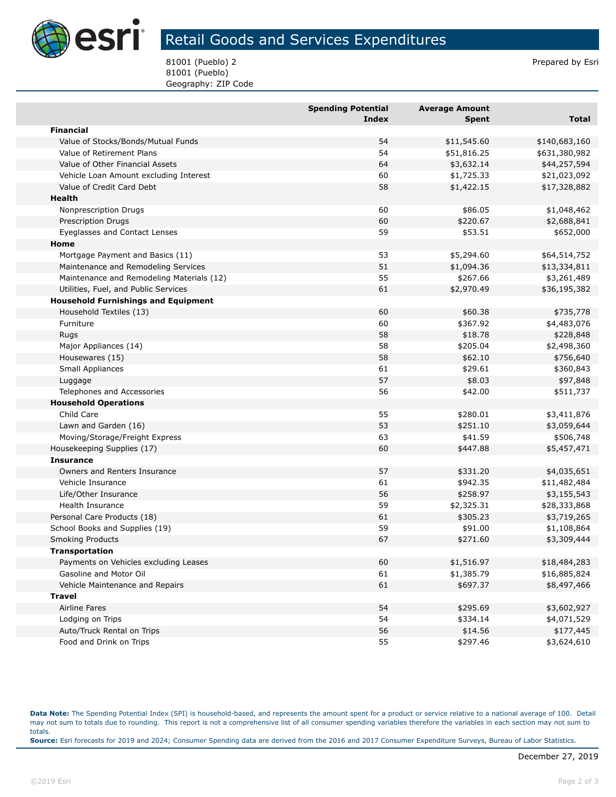

## Retail Goods and Services Expenditures

81001 (Pueblo) 2 Prepared by Esri 81001 (Pueblo) Geography: ZIP Code

|                                            | <b>Spending Potential</b> | <b>Average Amount</b> |               |
|--------------------------------------------|---------------------------|-----------------------|---------------|
|                                            | <b>Index</b>              | <b>Spent</b>          | Total         |
| <b>Financial</b>                           |                           |                       |               |
| Value of Stocks/Bonds/Mutual Funds         | 54                        | \$11,545.60           | \$140,683,160 |
| Value of Retirement Plans                  | 54                        | \$51,816.25           | \$631,380,982 |
| Value of Other Financial Assets            | 64                        | \$3,632.14            | \$44,257,594  |
| Vehicle Loan Amount excluding Interest     | 60                        | \$1,725.33            | \$21,023,092  |
| Value of Credit Card Debt                  | 58                        | \$1,422.15            | \$17,328,882  |
| Health                                     |                           |                       |               |
| Nonprescription Drugs                      | 60                        | \$86.05               | \$1,048,462   |
| Prescription Drugs                         | 60                        | \$220.67              | \$2,688,841   |
| Eyeglasses and Contact Lenses              | 59                        | \$53.51               | \$652,000     |
| Home                                       |                           |                       |               |
| Mortgage Payment and Basics (11)           | 53                        | \$5,294.60            | \$64,514,752  |
| Maintenance and Remodeling Services        | 51                        | \$1,094.36            | \$13,334,811  |
| Maintenance and Remodeling Materials (12)  | 55                        | \$267.66              | \$3,261,489   |
| Utilities, Fuel, and Public Services       | 61                        | \$2,970.49            | \$36,195,382  |
| <b>Household Furnishings and Equipment</b> |                           |                       |               |
| Household Textiles (13)                    | 60                        | \$60.38               | \$735,778     |
| Furniture                                  | 60                        | \$367.92              | \$4,483,076   |
| Rugs                                       | 58                        | \$18.78               | \$228,848     |
| Major Appliances (14)                      | 58                        | \$205.04              | \$2,498,360   |
| Housewares (15)                            | 58                        | \$62.10               | \$756,640     |
| Small Appliances                           | 61                        | \$29.61               | \$360,843     |
| Luggage                                    | 57                        | \$8.03                | \$97,848      |
| Telephones and Accessories                 | 56                        | \$42.00               | \$511,737     |
| <b>Household Operations</b>                |                           |                       |               |
| Child Care                                 | 55                        | \$280.01              | \$3,411,876   |
| Lawn and Garden (16)                       | 53                        | \$251.10              | \$3,059,644   |
| Moving/Storage/Freight Express             | 63                        | \$41.59               | \$506,748     |
| Housekeeping Supplies (17)                 | 60                        | \$447.88              | \$5,457,471   |
| <b>Insurance</b>                           |                           |                       |               |
| Owners and Renters Insurance               | 57                        | \$331.20              | \$4,035,651   |
| Vehicle Insurance                          | 61                        | \$942.35              | \$11,482,484  |
| Life/Other Insurance                       | 56                        | \$258.97              | \$3,155,543   |
| <b>Health Insurance</b>                    | 59                        | \$2,325.31            | \$28,333,868  |
| Personal Care Products (18)                | 61                        | \$305.23              | \$3,719,265   |
| School Books and Supplies (19)             | 59                        | \$91.00               | \$1,108,864   |
| <b>Smoking Products</b>                    | 67                        | \$271.60              | \$3,309,444   |
| <b>Transportation</b>                      |                           |                       |               |
| Payments on Vehicles excluding Leases      | 60                        | \$1,516.97            | \$18,484,283  |
| Gasoline and Motor Oil                     | 61                        | \$1,385.79            | \$16,885,824  |
| Vehicle Maintenance and Repairs            | 61                        | \$697.37              | \$8,497,466   |
| <b>Travel</b>                              |                           |                       |               |
| Airline Fares                              | 54                        | \$295.69              | \$3,602,927   |
| Lodging on Trips                           | 54                        | \$334.14              | \$4,071,529   |
| Auto/Truck Rental on Trips                 | 56                        | \$14.56               | \$177,445     |
| Food and Drink on Trips                    | 55                        | \$297.46              | \$3,624,610   |

**Data Note:** The Spending Potential Index (SPI) is household-based, and represents the amount spent for a product or service relative to a national average of 100. Detail may not sum to totals due to rounding. This report is not a comprehensive list of all consumer spending variables therefore the variables in each section may not sum to totals. **Source:** Esri forecasts for 2019 and 2024; Consumer Spending data are derived from the 2016 and 2017 Consumer Expenditure Surveys, Bureau of Labor Statistics.